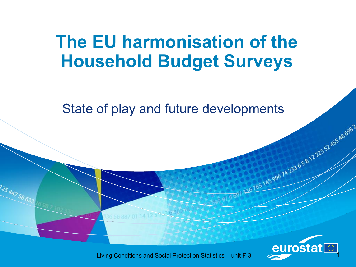# **The EU harmonisation of the Household Budget Surveys**

State of play and future developments



145 996 74 233 6 5 8 12 223 52 455 AB 698 2

12544758633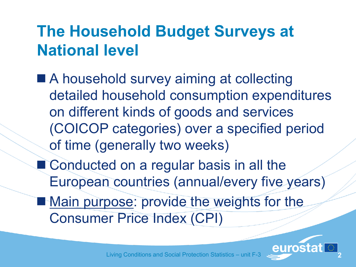# **The Household Budget Surveys at National level**

- A household survey aiming at collecting detailed household consumption expenditures on different kinds of goods and services (COICOP categories) over a specified period of time (generally two weeks)
- Conducted on a regular basis in all the European countries (annual/every five years)
- **Main purpose: provide the weights for the** Consumer Price Index (CPI)

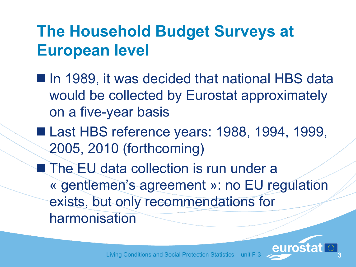# **The Household Budget Surveys at European level**

- In 1989, it was decided that national HBS data would be collected by Eurostat approximately on a five-year basis
- Last HBS reference years: 1988, 1994, 1999, 2005, 2010 (forthcoming)
- **The EU data collection is run under a** « gentlemen"s agreement »: no EU regulation exists, but only recommendations for harmonisation

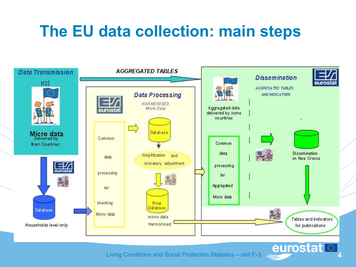# **The EU data collection: main steps**

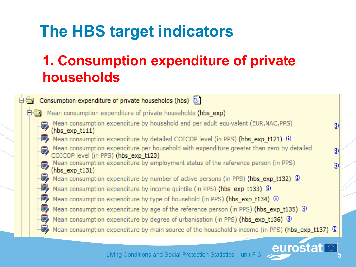# **The HBS target indicators**

### **1. Consumption expenditure of private households**

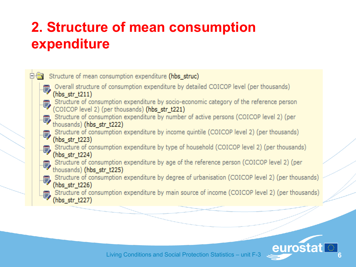### **2. Structure of mean consumption expenditure**



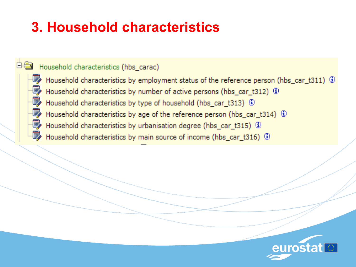### **3. Household characteristics**

#### Household characteristics (hbs carac)

啰

郾

P

靊

學

Household characteristics by employment status of the reference person (hbs\_car\_t311) 4) Household characteristics by number of active persons (hbs car t312)  $\circled{1}$ Household characteristics by type of household (hbs\_car\_t313) 4 Household characteristics by age of the reference person (hbs\_car\_t314)  $\Phi$ Household characteristics by urbanisation degree (hbs\_car\_t315) (3) Household characteristics by main source of income (hbs\_car\_t316) 4)

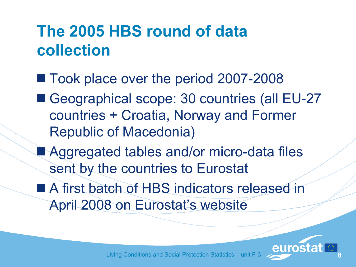# **The 2005 HBS round of data collection**

- Took place over the period 2007-2008
- Geographical scope: 30 countries (all EU-27 countries + Croatia, Norway and Former Republic of Macedonia)
- Aggregated tables and/or micro-data files sent by the countries to Eurostat
- A first batch of HBS indicators released in April 2008 on Eurostat's website

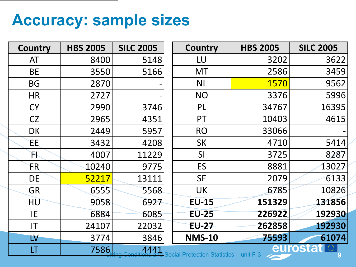### **Accuracy: sample sizes**

| <b>Country</b>         | <b>HBS 2005</b>                                                            | <b>SILC 2005</b> |  | <b>Country</b> | <b>HBS 2005</b> | <b>SILC 2005</b> |  |
|------------------------|----------------------------------------------------------------------------|------------------|--|----------------|-----------------|------------------|--|
| AT                     | 8400                                                                       | 5148             |  | LU             | 3202            | 3622             |  |
| <b>BE</b>              | 3550                                                                       | 5166             |  | <b>MT</b>      | 2586            | 3459             |  |
| <b>BG</b>              | 2870                                                                       |                  |  | <b>NL</b>      | 1570            | 9562             |  |
| <b>HR</b>              | 2727                                                                       |                  |  | <b>NO</b>      | 3376            | 5996             |  |
| <b>CY</b>              | 2990                                                                       | 3746             |  | PL             | 34767           | 16395            |  |
| <b>CZ</b>              | 2965                                                                       | 4351             |  | PT             | 10403           | 4615             |  |
| <b>DK</b>              | 2449                                                                       | 5957             |  | <b>RO</b>      | 33066           |                  |  |
| ЕE                     | 3432                                                                       | 4208             |  | <b>SK</b>      | 4710            | 5414             |  |
| N,                     | 4007                                                                       | 11229            |  | SI             | 3725            | 8287             |  |
| FR.                    | 10240                                                                      | 9775             |  | ES             | 8881            | 13027            |  |
| DE                     | 52217                                                                      | 13111            |  | <b>SE</b>      | 2079            | 6133             |  |
| <b>GR</b>              | 6555                                                                       | 5568             |  | <b>UK</b>      | 6785            | 10826            |  |
| HU                     | 9058                                                                       | 6927             |  | <b>EU-15</b>   | 151329          | 131856           |  |
| IE                     | 6884                                                                       | 6085             |  | <b>EU-25</b>   | 226922          | 192930           |  |
| $\mathsf{I}\mathsf{T}$ | 24107                                                                      | 22032            |  | <b>EU-27</b>   | 262858          | 192930           |  |
| $\mathsf{LV}$          | 3774                                                                       | 3846             |  | <b>NMS-10</b>  | 75593           | 61074            |  |
| LT                     | eurostat <br>32<br>7586<br>4441<br>Social Protection Statistics - unit F-3 |                  |  |                |                 |                  |  |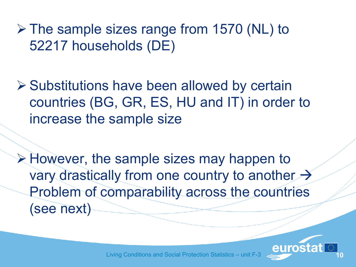The sample sizes range from 1570 (NL) to 52217 households (DE)

**≻ Substitutions have been allowed by certain** countries (BG, GR, ES, HU and IT) in order to increase the sample size

 $\triangleright$  However, the sample sizes may happen to vary drastically from one country to another  $\rightarrow$ Problem of comparability across the countries (see next)

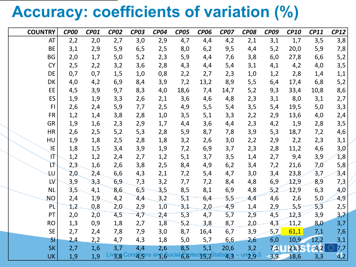# **Accuracy: coefficients of variation (%)**

| <b>COUNTRY</b> | <b>CP00</b> | <b>CP01</b> | <b>CP02</b> | <b>CP03</b>                                        | <b>CP04</b> | <b>CP05</b> | <b>CP06</b> | <b>CP07</b> | <b>CP08</b>                         | <b>CP09</b> | <b>CP10</b> | <b>CP11</b> | <b>CP12</b> |
|----------------|-------------|-------------|-------------|----------------------------------------------------|-------------|-------------|-------------|-------------|-------------------------------------|-------------|-------------|-------------|-------------|
| AT             | 2,2         | 2,0         | 2,7         | 3,0                                                | 2,9         | 4,7         | 4,4         | 4,2         | 2,1                                 | 3,1         | 1,7         | 3,5         | 3,8         |
| <b>BE</b>      | 3,1         | 2,9         | 5,9         | 6, 5                                               | 2,5         | 8,0         | 6,2         | 9,5         | 4,4                                 | 5,2         | 20,0        | 5,9         | 7,8         |
| <b>BG</b>      | 2,0         | 1,7         | $5,0$       | 5,2                                                | 2,3         | 5,9         | 4,4         | 7,6         | 3,8                                 | 6,0         | 27,8        | 6,6         | 5,2         |
| <b>CY</b>      | 2,5         | 2,2         | 3,2         | 3,6                                                | 2,8         | 4,3         | 4,4         | 5,4         | 3,1                                 | 4,1         | 4,2         | 4,0         | 3,5         |
| DE             | 0,7         | 0,7         | 1,5         | 1,0                                                | 0,8         | 2,2         | 2,7         | 2,3         | 1,0                                 | 1,2         | 2,8         | 1,4         | 1,1         |
| DK             | 4,0         | 4,2         | 6,9         | 8,4                                                | 3,9         | 7,2         | 13,2        | 8,9         | 5,5                                 | 6,4         | 17,4        | 6,8         | 5,2         |
| EE             | 4,5         | 3,9         | 9,7         | 8,3                                                | 4,0         | 18,6        | 7,4         | 14,7        | 5,2                                 | 9,3         | 33,4        | 10,8        | 8,6         |
| ES             | 1,9         | 1,9         | 3,3         | 2,6                                                | 2,1         | 3,6         | 4,6         | 4,8         | 2,3                                 | 3,1         | 8,0         | 3,1         | 2,7         |
| F <sub>1</sub> | 2,6         | 2,4         | 5,9         | 7,7                                                | 2,5         | 4,9         | 5,5         | 5,4         | 3,5                                 | 5,4         | 19,5        | $5,0$       | 3,3         |
| <b>FR</b>      | 1,2         | 1,4         | 3,8         | 2,8                                                | 1,0         | 3,5         | 5,1         | 3,3         | 2,2                                 | 2,9         | 13,6        | 4,0         | 2,4         |
| <b>GR</b>      | 1,9         | 1,6         | 2,3         | 2,9                                                | 1,7         | 4,4         | 3,6         | 4,4         | 2,3                                 | 4,2         | 1,9         | 2,8         | 3,5         |
| <b>HR</b>      | 2,6         | 2,5         | 5,2         | 5,3                                                | 2,8         | 5,9         | 8,7         | 7,8         | 3,9                                 | 5,3         | 18,7        | 7,2         | 4,6         |
| HU             | 1,9         | 1,8         | 2,5         | 2,8                                                | 1,8         | 3,2         | 2,6         | 3,0         | 2,2                                 | 2,9         | 2,2         | 2,3         | 3,1         |
| IE             | 1,8         | 1,5         | 3,4         | 3,9                                                | 1,9         | 7,2         | 6,9         | 3,7         | 2,3                                 | 2,8         | 11,2        | 4,6         | 3,0         |
| IT             | 1,2         | 1,2         | 2,4         | 2,7                                                | 1,2         | 5,1         | 3,7         | 3,5         | 1,4                                 | 2,7         | 9,4         | 3,9         | 1,8         |
| Ľ۴             | 2,3         | 1,6         | 2,6         | 3,8                                                | 2,5         | 8,4         | 4,9         | 6,2         | 3,4                                 | 7,2         | 21,6        | 7,0         | 5,8         |
| LU             | 2,0         | 2,4         | 6,6         | 4,3                                                | 2,1         | 7,2         | 5,4         | 4,7         | 3,0                                 | 3,4         | 23,8        | 3,7         | 3,4         |
| LV             | 3,9         | 3,3         | 6,9         | 7,3                                                | 3,2         | 7,7         | 7,2         | 8,4         | 4,8                                 | 6,9         | 12,9        | 8,9         | 7,3         |
| <b>NL</b>      | 3,5         | 4,1         | 8,6         | 6,5                                                | 3,5         | 8,5         | 8,1         | 6,9         | 4,8                                 | 5,2         | 12,9        | 6,3         | 4,0         |
| <b>NO</b>      | 2,4         | 1,9         | 4,2         | 4,4                                                | 3,2         | 5,1         | 6,4         | 5,5         | 4,4                                 | 4,6         | 2,6         | 5,0         | 4,9         |
| PL             | 1,2         | 0,8         | 2,0         | 2,9                                                | 1,0         | 3,1         | 2,0         | 4,9         | 1,4                                 | 2,9         | 5,5         | 5,3         | 2,5         |
| PT             | 2,0         | 2,0         | 4,5         | 4,7                                                | 2,4         | 5,3         | 4,7         | 5,7         | 2,9                                 | 4,5         | 12,3        | 3,9         | 3,7         |
| <b>RO</b>      | 1,3         | 0,9         | 1,8         | 2,7                                                | 1,8         | 5,2         | 3,8         | 8,7         | 2,0                                 | 4,3         | 11,2        | 8,0         | 3,7         |
| <b>SE</b>      | 2,7         | 2,4         | 7,8         | 7,9                                                | 3,0         | 8,7         | 16,4        | 6,7         | 3,9                                 | 5,7         | 61,1        | 7,1         | 7,6         |
| SI             | 2,4         | 2,2         | 4,7         | 4,3                                                | 1,8         | 5,0         | 5,7         | 6,6         | 2,6                                 | 6,0         | 10,9        | 12,2        | 3,1         |
| <b>SK</b>      | 2,7         | 1,6         | 3,7         | 4,4                                                | 2,6         | 8,5         | 5,1         | 20,6        | 3,2                                 | <b>79U</b>  | 23,35       | 24.2        | ₩<br>7,7    |
| <b>UK</b>      | 1,9         | 1,9         |             | Livg, g Conditions and Social Sotection Statistics |             |             |             |             | $un\frac{1}{2}$ , $\overline{9}$ -3 | 3,9         | 18,6        | 3,3         | 4/2         |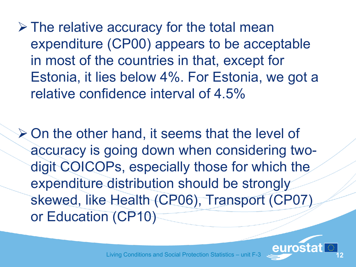$\triangleright$  The relative accuracy for the total mean expenditure (CP00) appears to be acceptable in most of the countries in that, except for Estonia, it lies below 4%. For Estonia, we got a relative confidence interval of 4.5%

 $\geq$  On the other hand, it seems that the level of accuracy is going down when considering twodigit COICOPs, especially those for which the expenditure distribution should be strongly skewed, like Health (CP06), Transport (CP07) or Education (CP10)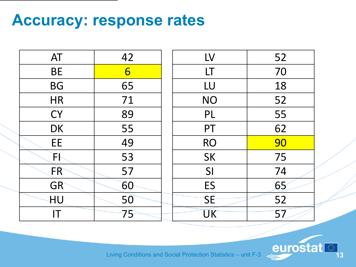# **Accuracy: response rates**

| AT        | 42             | LV        | 52 |
|-----------|----------------|-----------|----|
| <b>BE</b> | $6\overline{}$ | LT        | 70 |
| <b>BG</b> | 65             | LU        | 18 |
| <b>HR</b> | 71             | <b>NO</b> | 52 |
| <b>CY</b> | 89             | PL        | 55 |
| <b>DK</b> | 55             | PT        | 62 |
| EE        | 49             | <b>RO</b> | 90 |
| ħ         | 53             | SK        | 75 |
| <b>FR</b> | 57             | SI        | 74 |
| <b>GR</b> | 60             | ES        | 65 |
| HU        | 50             | <b>SE</b> | 52 |
| ΙT        | 75             | <b>UK</b> | 57 |

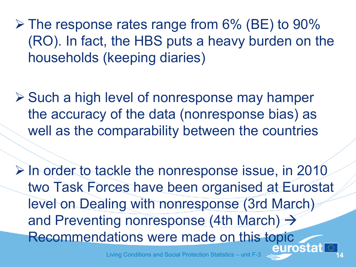$\triangleright$  The response rates range from 6% (BE) to 90% (RO). In fact, the HBS puts a heavy burden on the households (keeping diaries)

 $\triangleright$  Such a high level of nonresponse may hamper the accuracy of the data (nonresponse bias) as well as the comparability between the countries

 $\triangleright$  In order to tackle the nonresponse issue, in 2010 two Task Forces have been organised at Eurostat level on Dealing with nonresponse (3rd March) and Preventing nonresponse (4th March)  $\rightarrow$ Recommendations were made on this topic<br>eurostat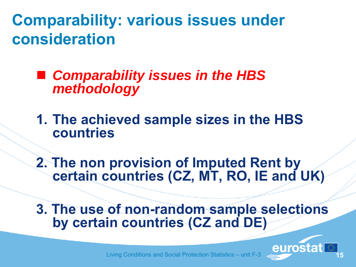**Comparability: various issues under consideration**

 *Comparability issues in the HBS methodology*

**1. The achieved sample sizes in the HBS countries**

**2. The non provision of Imputed Rent by certain countries (CZ, MT, RO, IE and UK)**

**3. The use of non-random sample selections by certain countries (CZ and DE)**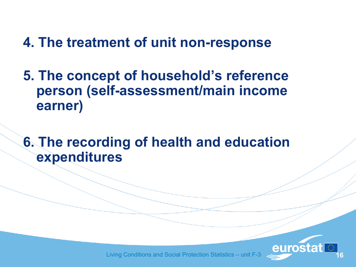#### **4. The treatment of unit non-response**

**5. The concept of household's reference person (self-assessment/main income earner)**

**6. The recording of health and education expenditures**

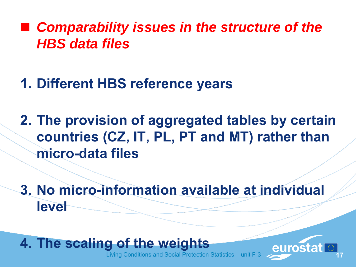#### ■ Comparability issues in the structure of the *HBS data files*

#### **1. Different HBS reference years**

**2. The provision of aggregated tables by certain countries (CZ, IT, PL, PT and MT) rather than micro-data files**

**3. No micro-information available at individual level**

#### **4. The scaling of the weights**

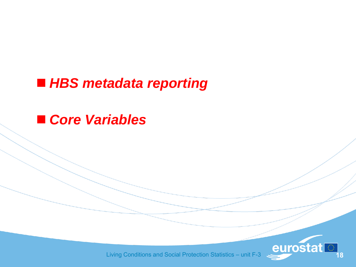#### *HBS metadata reporting*

#### *Core Variables*

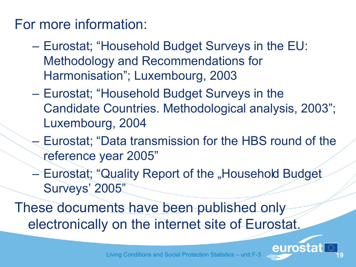#### For more information:

- Eurostat; "Household Budget Surveys in the EU: Methodology and Recommendations for Harmonisation"; Luxembourg, 2003
- Eurostat; "Household Budget Surveys in the Candidate Countries. Methodological analysis, 2003"; Luxembourg, 2004
- Eurostat; "Data transmission for the HBS round of the reference year 2005"
- Eurostat; "Quality Report of the "Household Budget Surveys' 2005"

These documents have been published only electronically on the internet site of Eurostat.